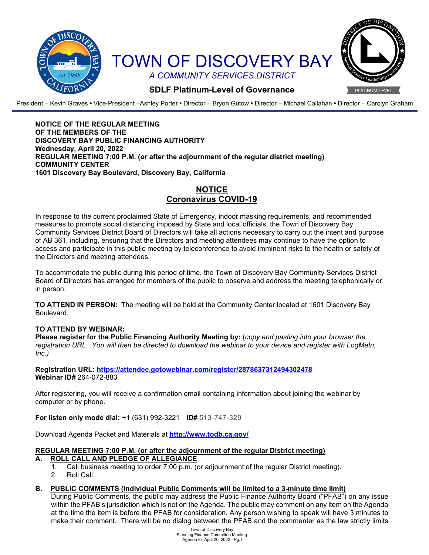

President – Kevin Graves **•** Vice-President –Ashley Porter **•** Director – Bryon Gutow **•** Director – Michael Callahan **•** Director – Carolyn Graham

**NOTICE OF THE REGULAR MEETING OF THE MEMBERS OF THE DISCOVERY BAY PUBLIC FINANCING AUTHORITY Wednesday, April 20, 2022 REGULAR MEETING 7:00 P.M. (or after the adjournment of the regular district meeting) COMMUNITY CENTER 1601 Discovery Bay Boulevard, Discovery Bay, California**

# **NOTICE Coronavirus COVID-19**

In response to the current proclaimed State of Emergency, indoor masking requirements, and recommended measures to promote social distancing imposed by State and local officials, the Town of Discovery Bay Community Services District Board of Directors will take all actions necessary to carry out the intent and purpose of AB 361, including, ensuring that the Directors and meeting attendees may continue to have the option to access and participate in this public meeting by teleconference to avoid imminent risks to the health or safety of the Directors and meeting attendees.

To accommodate the public during this period of time, the Town of Discovery Bay Community Services District Board of Directors has arranged for members of the public to observe and address the meeting telephonically or in person.

**TO ATTEND IN PERSON:** The meeting will be held at the Community Center located at 1601 Discovery Bay Boulevard.

## **TO ATTEND BY WEBINAR:**

**Please register for the Public Financing Authority Meeting by:** (*copy and pasting into your browser the registration URL. You will then be directed to download the webinar to your device and register with LogMeIn, Inc.)*

**Registration URL:<https://attendee.gotowebinar.com/register/2878637312494302478> Webinar ID#** 264-072-883

After registering, you will receive a confirmation email containing information about joining the webinar by computer or by phone.

**For listen only mode dial:** +1 (631) 992-3221 **ID#** 513-747-329

Download Agenda Packet and Materials at **<http://www.todb.ca.gov/>**

# **REGULAR MEETING 7:00 P.M. (or after the adjournment of the regular District meeting)**

#### **A. ROLL CALL AND PLEDGE OF ALLEGIANCE**

- 1. Call business meeting to order 7:00 p.m. (or adjournment of the regular District meeting).
- 2. Roll Call.

## **B. PUBLIC COMMENTS (Individual Public Comments will be limited to a 3-minute time limit)**

During Public Comments, the public may address the Public Finance Authority Board ("PFAB") on any issue within the PFAB's jurisdiction which is not on the Agenda. The public may comment on any item on the Agenda at the time the item is before the PFAB for consideration. Any person wishing to speak will have 3 minutes to make their comment. There will be no dialog between the PFAB and the commenter as the law strictly limits